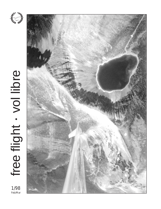

1/98<br>Feb/Mar



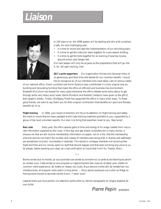# **Liaison**



In 100 days or so, the 1998 season will be starting and let's wish ourselves a safe, fun and challenging year.

- It is time to revisit and start the implementation of our recruiting plans.
- It is time to get the instructor team together for a pre-season briefing.
- It is time to get the folks together for an evening of soaring movies, ground school and hangar talk.

Our next season will only be as good as the preparations that will go into it. So, let's get cracking, now.

**SAC's quiet supporters** Our organization thrives only because many of us generously give their time and talents for our common benefit. I would like to recognize six of our members who have taken care of various needs

of our national office. Glenn Lockhard and Norm Rylance have contributed in a truly original way by building and renovating furniture that make the office an efficient and business-like environment. Elisabeth McCollum has helped for many years whenever the office needed some extra labour to get through some very heavy work loads. Barrie Murdock and Roberto Centazzo have given us the gift of their graphic artistry. Finally, Wolfgang Thiele has supported the office in many small ways. To these good friends, we want to say thank you for their original contribution that benefits our sport and thereby benefits all of us.

**Flight training** In 1998, your board of directors will focus its attention on flight training and safety. We want to insure that we have updated world class training materials available to you, supported by a group of top level volunteer experts. Our plan is to bring that expertise closer to you. Stay tuned.

**Bad costs** Every year, the office spends gobs of time and energy to fix snags created from inaccurate information supplied by the clubs. In this day and age where computers are in many homes, it amazes me that we still receive membership information on paper, not on a file, that the membership amounts sent do not match the number and classes of members sent along with it. Names and addresses are sometimes incorrect, incomplete or obsolete. This results in unhappy members not receiving free flight and time and our money spent on stuff that should happen and that does not bring any value to us. So please, before sending your data, do a last verification to insure that it will fly. Thanks, Merci.

Bonne année tout le monde. Je vous souhaite une année du tonnerre où la santé et les thermiques seront au rendez-vous. Cette année je vous propose un rapprochement des clubs du Québec pour mettre en commun notre expérience, de mettre en réseau nos clubs. Nous devons croître afin de rentabiliser nos infrastructures, et d'assurer notre avenir à long terme. ... Nous serons quelques uns à aller au Ridge en Pennsylvanie durant la seconde moitié d'avril. Y serez vous?

•••

J'apprécierais que vous portiez une attention particulière au dernier paragraphe en langue anglaise de mon billet.

Pierre Pepin president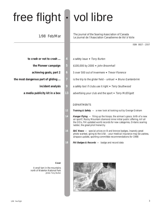# free flight • vol libre

1/98 Feb/Mar

The journal of the Soaring Association of Canada Le journal de l'Association Canadienne de Vol à Voile

ISSN 0827 – 2557

- **to crash or not to crash ... 4** a safety issue ♦ Tony Burton
	-
	-
- -
	-

**Cover**

A small tarn in the mountains north of Waterton National Park photo: Tony Burton

- 
- **the Pioneer campaign 5** \$100,000 by 2000 ✦ John Broomhall
- **achieving goals, part 2 6 5** over 500 out of Invermere ♦ Trevor Florence
- **the most dangerous part of gliding ... 7** is the trip to the glider field untrue! ✦ Bruno Gantenbrink
	- **incident analysis 9** a safety tool if clubs use it right ♦ Terry Southwood
	- **a media publicity kit in a box 13** advertising your club and the sport ♦ Terry McElligott

### **DEPARTMENTS**

- **12 Training & Safety**  a new look at looking out by George Graham
- **14 Hangar Flying**  firing up the troops, the airman's grace, birth of a new air sport?, Rocky Mountain diamond mine initial public offering, kill all the OOs, FAI updated world records for new categories, Ontario soaring ladder, the great pilot hierarchy
- **16 SAC News**  special prices on B and bronze badges, insanely great photo wanted, going to the USA – your medical insurance may be useless, airspace update, sporting committee recommendations for 1998
- 18 **FAI Badges & Records** badge and record data

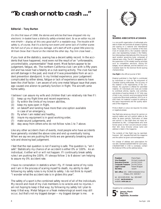# **"To crash or not to crash ..."**

### **Editorial – Tony Burton**

On this first issue of 1998, the stories and articles that have dropped into my electronic in-basket have a distinctly safety-oriented slant. So as an editor my job was simple – display all this very good stuff in a readable way. The trouble with safety is, of course, that it's a boring non-event until some lack of it either scares the hell out of you or does you damage. Let's start off with a great little piece by William Snow that I found on the internet the other day. Pay him close heed ...

If you look at the statistics, soaring has a decent safety record. In the accidents that have happened, most were not the result of an "unforseeable, uncontrollable, unpreventable" freak event. Most factors appear to be judgement, fatigue, etc. The northern California club I am with is fifty years old and has never had a fatality at a club soaring activity. The club has had aircraft damage in the past, and most of it was preventable from an accident prevention standpoint. In my limited experience, poor judgement complicated by either stress, fatigue or lack of experience seems to have been the chief factor. I am aware of only one metal fatigue issue that years ago caused one aileron to partially function in flight. The aircraft came home safely.

I believe I can assure my wife and children that I am relatively risk free if I:

- (1) keep up my flight time and recent experience,
- (2) fly within the limits of my known abilities,
- (3) keep my eyes open in flight,
- (4) on takeoff and landing have more than one option available in case of an emergency,
- (5) fly when I am rested and healthy,
- (6) insure my equipment is in good working order,
- (7) make sound judgements, and
- (8) stay away from others who do not follow rules 1 to 7 above.

Like any other accident chain of events, most people who have accidents have generally violated the above rules and end up eventually losing. When we say we are pushing the limits we are generally breaking some rule and showing bad judgement.

I feel that the real question is not if soaring is safe. The question is, "am I safe". Statistically my chance of an accident is either 0% or 100%. As an individual, it either will or will not happen. If I continually break safety rules I am pushing the 100%. If I always follow 1 to 8 above I am helping to assure my 0% accident rate.

I have no consolation in statistics when I fly. If I break some of my rules and I am in the process of scaring myself to death, my ability to start following my safety rules is my ticket to safety. I do not think to myself, "I wonder what the accident rate is in gliders this year".

The safety of a sport is the combined safety record of all of the individuals. My record and most of my club members is no wrecks and no injuries. I am not *hoping* to keep it that way; by following my safety list I plan to keep it that way. Metal fatigue or a freak meteorological event may still occur, but that's not my biggest danger — my biggest danger is me. ❖



#### **The SOARING ASSOCIATION of CANADA**

is a non-profit organization of enthusiasts who seek to foster and promote all phases of gliding and soaring on a national and international basis. The association is a member of the Aero Club of Canada (ACC), the Canadian national aero club representing Canada in the Fédération Aéronautique Internationale (FAI), the world sport aviation governing body composed of national aero clubs. The ACC delegates to SAC the supervision of FAI-related soaring activities such as competition sanctions, issuing FAI badges, record attempts, and the selection of a Canadian team for the biennial World soaring championships.

**free flight** is the official journal of SAC.

Material published in free flight is contributed by individuals or clubs for the enjoyment of Canadian soaring enthusiasts. The accuracy of the material is the responsibility of the contributor. No payment is offered for submitted material. All individuals and clubs are invited to contribute articles, reports, club activities, and photos of soaring interest. A 3.5" disk copy of text in any common word processing format is welcome (Macintosh preferred, DOS is ok in ASCII text). All material is subject to editing to the space requirements and the quality standards of the magazine.

Prints in B&W or colour are required. No slides or negatives please.

free flight also serves as a forum for opinion on soaring matters and will publish letters to the editor as space permits. Publication of ideas and opinion in free flight does not imply endorsement by SAC. Correspondents who wish formal action on their concerns should contact their SAC Zone Director whose name and address is listed in the magazine.

The contents of free flight may be reprinted; however , SAC requests that both the magazine and the author be given acknowledgement.

For change of address and subscriptions for non-SAC members (\$26/\$47/\$65 for 1/2/3 years, US\$26/\$47/\$65 in USA & overseas), contact the National Office at the address below.

**President** Pierre Pepin<br> **Vice President** Richard Long **Executive Director Corporate Treasurer** Jim McCollum<br> **Legal Counsel** Robert Wappel **Secretary** vacant

**Richard Longhurst**<br>Jim McCollum **Legal Counsel** Robert Wappel

**SAC office:** 101 – 1090 Ambleside Drive Ottawa, ON K2B 8G7

tel: (613) 829-0536 fax: 829-9497 e-mail: **sac@comnet.ca** website: **www.sac.ca**

Deadline for contributions:



**January, March May, July September, November**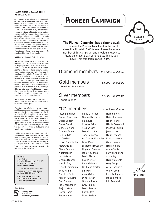### **L'ASSOCIATION CANADIENNE DE VOL A VOILE**

est une organisation à but non lucratif formée de personnes enthousiastes cherchant à développer et à promouvoir le vol à voile sous toutes ses formes sur une base nationale et internationale. L'association est membre de l'Aéro Club du Canada (ACC) représentant le Canada au sein de la Fédération Aéronautique Internationale (FAI), administration formée des aéro clubs nationaux responsables des sports aériens à l'échelle mondiale. Selon les normes de la FAI, l'ACC a délégué à l'Association Canadienne de Vol à Voile la supervision des activités de vol à voile telles que tentatives de records, sanctions des compétitions, délivrance des brevets de la FAI etc. ainsi que la sélection d'une équipe nationale pour les championnats mondiaux biennaux de vol à voile.

**vol libre** est le journal officiel de l'ACVV.

Les articles publiés dans vol libre sont des contributions dues à la gracieuseté d'individus ou de groupes enthousiastes du vol à voile. Le contenu des articles soumis est la responsabilité exclusive de leurs auteurs. Aucune compensation financière n'est offerte pour la fourniture d'un article. Chacun est invité à participer à la réalisation de la revue, soit par reportages, échanges d'opinions, activités dans le club, etc. Le texte peut être soumis sur disquette de format 3.5" sous n'importe quel format de traitement de texte bien que l'éditeur préfère le format Macintosh (DOS est acceptable). Les articles seront publiés selon l'espace disponible. Les textes et les photos seront soumis à la rédaction et, dépendant de leur intérêt, seront insérés dans la revue.

Les épreuves de photo en noir et blanc ou couleur sont requises; pas de diapositives ni de negatifs s'il vous plaît.

L'exactitude des articles publiés est la responsabilité des auteurs et ne saurait en aucun cas engager celle de la revue vol libre, ni celle de l'ACVV ni refléter leurs idées. Toute personne désirant faire des représentations sur un sujet précis auprès de l'ACVV devra s'adresser au directeur régional de l'ACVV dont le nom apparait dans la revue. Les articles de vol libre peuvent être reproduits librement, mais la mention du nom de la revue et de l'auteur serait grandement appréciée.

Veuillez vous adresser au bureau national à l'adresse indiquée à gauche du bas de la page pour tout changement d'adresse et abonnement à vol libre. Les prix des abonnements à cette revue sont les suivants: au Canada \$26, \$47 et \$65 pour 1, 2 ou 3 ans et aux Etats Unis et outre–mer les mêmes montants mais exprimés en \$ américains.

### **EDITOR**

Tony Burton Box 1916 Claresholm, AB T0L 0T0 tel & fax (403) 625-4563 e-mail **free-flt@agt.net**

Any service of Canada Post to above address. Any commercial courier service to 335 - 50 Avenue W

**COMMERCIAL ADVERTISING** National Office (613) 829-0536 e-mail **sac@comnet.ca**

### Date limite:



**janvier, mars mai, juillet septembre, novembre**

# **PIONEER CAMPAIGN**



### **The Pioneer Campaign has a simple goal:**

to increase the Pioneer Trust Fund to the point where it will sustain SAC forever. Please become a member of this campaign, and provide a legacy so future generations can continue soaring as you have. This campaign started in 1997.

### Diamond members  $$10,000+$  in lifetime

### $Gold$  members  $$5,000+$  in lifetime

J. Freedman Foundation

### Silver members  $\frac{1}{1,000+}$  in lifetime

Howard Loewen

### "C" members current year donors

Jason Bellenger Roland Blackburn Oscar Boesch Derek Brewin Chris Brownhill Gordon Bruce Ken Carlyle L. Cassiani David Chamberlain Matt Chislett Pierre Couture Adolf Degen Jerry Dixon George Dunbar Harold Eley Daniel Forthomme Tony Firmin Christine Futter Mitsuri Fujiyama Bob Gairns Joe Gegenbauer Reijo Hakala Roger Harris Roger Harrop

Philip G. Hinton George Huxtable Jim Kayer Charles Keith Alex Krieger Daniel Lizotte Tony Lowachee W. Donald Macaulay Mark Schneider Dave Maven Elisabeth McCollum Hugh McColeman John McDonald David Maven Paul Mercier Kenneth Melax Dr. Philip Morton Jim Oke Alain Orfila Dino Parekh Graham Payne Gary Paradis David Pearson Kurt Peiffer Norm Perfect

Harold Porter Heinz Portmann Norm Pound Nikola Preradovic Manfred Radius Jean Richard Norm Rylance Gilles Séguin Neil Siemens André Sirois Larry Springford Al Sunley Herrie ten Cate Gary Torgis Alex Upchurch Walter Weir Peter Wildgrube Donald Wood Eric Zoebelein

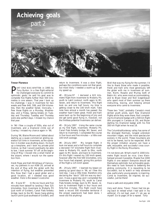

### **Trevor Florence**

**PART ONE WAS WRITTEN in 1995 by**<br>Tony Burton. In a free flight editorial<br>he challenged everyone to commit to<br>potimistic goals: he said his goal was to Tony Burton. In a free flight editorial optimistic goals: he said his goal was to complete five flights further than 500 kilometres in one season. That year I took up his challenge; I was in Invermere for two weeks and flew 640, 599, and 504 kilometres, then the weather failed. Ironically, I flew those flights on a Monday, Wednesday, and a Friday, taking breaks on Tuesday and Thursday; Tuesday and Thursday were also perfect days. I missed my chance that year.

In '96 I flew a couple of 500s, also out of Invermere, and a Diamond climb out of Cowley; I missed my chance again in '96.

During '96, Blaine Moore and I talked about starting up a quasi-commercial gliding operation full time in Invermere, as the operation in Golden was shutting down. He built up a towplane, and I took my private pilot licence, so that I would eventually be able to tow. I took summer '97 off: at the beginning of May I moved into a small trailer at the airport, where I would run the operation from.

Heidi Popp and Kalli Brinkhaus of Vancouver, my partners in our ASW-20, arrived at the end of May with the glider with the intention of flying, but weather prevented this. Now that I had a good glider and a good location, all I needed was good weather. Here is the season's outcome:

 $#1 - 9$  June 97 In the six hours and five minutes from takeoff to landing I flew 525 kilometres, from Invermere to Moberly Pit (just north of Golden), Canal Flats forestry bridge, back to the Mt. Seven hang gliding launch point (just southeast of Golden), and

return to Invermere. It was a slow flight, perhaps the conditions were not that good, but most likely I needed a warm-up to get my speed up.

#2 – 28 June 97 I declared a 622 kilometre flight from Invermere to Moberly Pit, south to Lakit Lookout, north again to Mt. Seven, and return to Invermere. This flight took six and one half hours; my time is getting closer to the 100 km/h mark. Take note here almost a month has passed: the weather hasn't been great. Heidi and Kalli were back up for the beginning of July and did get some good flying in, however, not the limitless potential Invermere can deliver.

#3 – 26 July 1997 Using the same course as my first flight, Invermere, Moberly Pit, Canal Flats forestry bridge, Mt. Seven, and return to Invermere. I completed the course in five hours and five minutes — a little over 100 km/h average.

#4 – 28 July 1997 My longest flight; it took me seven and a half hours to complete a declared 737 kilometre flight from Invermere to Moberly Pit, south to Elko, north again to Mt. Seven, and back to Invermere. On this flight I neared my 100 km/h speed, however after the first 500 kilometres, only four hours had elapsed, giving this portion of the flight a 125 km/h speed.

#5 – 29 July 1997 I learned my lesson on passing up good days in '96, so I flew this next day. I was a little tired, therefore only declaring the "stock" 500 km was my decision. It was a good day and I completed the Invermere to Moberly Pit, south to Canal Flats forestry bridge, back to Mt. Seven, return to Invermere flight in four hours and forty-five minutes. This flight could have been a record 500 kilometre territorial if the proper paperwork had been done. I never did file anything!

Well that was my flying for the summer; I'd like to thank those who made it possible: Heidi and Kalli who most generously left the glider with me in Invermere all summer, Norm, Rosalie and Murray both of Babin Air, who were most accommodating, and to Bryan Dean and Neil Gegenbauer who spent most of their summer up there instructing, towing, and helping almost everyone who came to Invermere.

These two "kids", probably Canada's most skilled youth pilots, each flew Diamond flights while they were there; Neil completing his Diamond badge with a 500 km flight (the youngest in Canada at 19), and Bryan starting his Diamond badge with his first 300 km flight when he was 18.

The Columbia/Kootenay valley has some of the strongest thermals, longest unbroken mountain ridges, and the most spectacular scenery in the world. These mountains are not to be feared, but to be respected. With the proper initiation anyone can have a safe, enjoyable, and successful cross country flight in the Rocky Mountains.

I'm not done yet. What's next? A 1000 kilometre flight would be nice; Uwe Kleinhempel proved it possible. Maybe five 1000 flights in one season! Everyone should set themselves optimistic but achievable goals. We need to look forward to bettering the gliding community. It is rewarding to be successful, but to watch or help someone else, particularly young people, is inspiring. Come to Invermere, be inspired, be successful, just be there!

Have a safe and enjoyable 1998. ♦ ♦

Very well done, Trevor. Trevor had me going back to reread what I had said in my editorial; it's not bad, even if I do say so myself. Go to page 14 for a repeat. Tony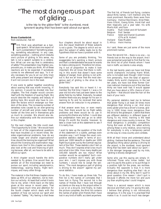### "The most dangerous part of gliding ...

 is the trip to the glider field" is the dumbest, most ignorant saying that has been said about our sport.

### **Bruno Gantenbrink**

from Aerokurier, Feb 93

HIS TALK was advertised as a ban-<br>quet speech. What does one expect of<br>such a presentation? Something pleas-<br>ing, something educational; in any case, quet speech. What does one expect of such a presentation? Something pleasing, something educational; in any case, something positive — nothing which disturbs one's picture of gliding. In this sense, my talk is not a speech suitable to a celebration. What can one say that is celebratory of safety? This presentation may frighten you, provoke you, or make you think. All of these reactions are to be expected. If somebody comes to me afterward and says, "Is it really necessary for you to air our dirty linen with press present and strangers listening?" It will not concern me in the least.

If one were to gather together everything about soaring that was worth knowing, in my opinion, it would be divided into four chapters. The first chapter would concern itself with the freedom of soaring flight. We would describe the majesty and beauty of gliding here. We would also have to consider the factors which endanger our freedom of the skies. The increasing number of senseless rules caused by an ever-growing number of aircraft and pilots make things harder all the time and in themselves give us much to consider. We should also define our relationship with the environment in this chapter.

For the next chapter, the title could read, "The Opportunity to Glide." We would have in here all of the organizational questions that have troubled us in recent times. Besides organizational problems, how do we create larger and smaller organizations? How should the training be organized? What should the licensing and examination regulations look like? In this chapter we should also look at the cost and financing of gliding because, after all, we have to be able to afford our sport.

A third chapter would handle the skills needed to fly gliders. One would then assemble all of the knowledge we need to pursue our sport, including aerodynamics, meteorology, soaring theory, flight techniques, and many other things.

The material in the first three chapters alone takes up 95% of our attention, not to mention our activity. At least that's what it looks like to me, when I think back on the talks given at this venue in recent years. That doesn't leave much time and attention for the fourth chapter which deals with the question of how we survive our sport and is labeled "Safety." My feeling is that these

four chapters should be about equal in size. But equal treatment of these subjects is not a given. The degree to which we neglect the subject of safety leads me to the hypothesis that we have a problem with it.

Some of you are probably thinking, "He exaggerates; he's painting a black picture and that's understandable because he wants to make a strong point. Therefore he's blowing it out of proportion to make it look important. We all know that there is nothing in this world that doesn't have some degree of danger. Even gliding is not without it. But we all know that the most dangerous part of gliding is the drive to the glider field."

Everybody has said this or heard it. I remember the first time I heard it. I was a 14 year old kid who had just been taken to the glider field by my father. Naturally, he asked whether there was any danger for his son in learning to fly and he received that same answer from an instructor in my presence.

If that answer were true, or even nearly true, then there would be no flight safety problems and there would be no use in pursuing this theme any further. I could stop the presentation here and go on to other things. It's worth the trouble, however, to take a closer look at this statement to see if it is really true.

I want to take up the question of the truth of this statement in a subtle, perhaps even macabre way. I will forego the usual comparative statistics stated in terms of accidents per 1000 takeoffs or deaths per 1000 flight hours given out by the German equivalent of the FAA. These statistics don't tell us much. They don't express what is too much and what is too little. How many deaths per 100,000 takeoffs are too many? What number would be acceptable? Such comparative numbers don't really get under your skin. I can't impress you with those numbers. I would like to weigh the sentence, "The most dangerous part of gliding is driving to the airport" against my personal statistics.

To do this, I have made up three lists. The first list is the names of comrades that I have lost in flying. The second list is the names of friends that I have lost through accidents on the way to the airport either in a car or on a bicycle. And finally, to make the picture complete, the third list contains the names of glider pilot friends that I have lost in any kind of traffic accident anywhere.

The first list, of friends lost flying, contains about thirty names. I will mention only the most prominent. Recently there were from Germany: Helmut Reichmann, Ernst Peter, Hans Glöckl, Georg Eckle, Horst Kall and then tragically just a year later, his wife Marlis Kall; and from

| Rudi Göbel and Alf Schubert |
|-----------------------------|
| Prof. Sander                |
| Sidot and Daniel Quemere    |
| (CFIs at St. Auban)         |
| <b>Kees Musters</b>         |
| Heini Heiriss               |
|                             |

As I said, these are just some of the more prominent names.

Now the second list — there is no one — no friends lost on the way to the airport. And I was somewhat surprised to find that for me, the third list of pilot friends whom I have lost in traffic accidents is also empty.

In the last twenty years we have lost three world champions including Harro Wödl, who is included even though I didn't know him personally, from the total of approximately thirty world champions. In the last ten years, we have lost three former German national champions out of the less than thirty we have ever had. It would appear that you have about a 10% chance of joining them — that should raise the hair on the back of your neck.

My personal statistics lead me to believe that glider flying is at least 30 times more dangerous than driving a car. And since every glider pilot has a driver's license, gliding is 1000 times more dangerous than the drive to the gliderport. I admit that there are different statistics in different types of flying. To my mind, training is the least dangerous and cross-country is more so. The most dangerous is probably competition flying. But even at that, the safest activity among these is only relative, since training for everybody is only a temporary period on the way to cross-country and contests.

With all that I know and understand about gliding, I believe that the sentence, The most dangerous thing about gliding is driving to the airport, is the dumbest, most ignorant thing that has been said about our sport in the stronger language used by my kids, "gliding is bloody dangerous!"

Some who use this saying are simply illinformed. Those who know better, but use it to pacify the public or to put things in a positive light for the press, are reckless. Actually the opposite is true. It is more dangerous than anything else that I do or know about in my life. Why don't I quit? A good question. One reason I don't quit is because it affords me more fun and pure joy than anything else I could imagine.

There is a second reason which is more decisive and that's why I'm giving this talk. I believe that gliding is not intrinsically dangerous. It is the way it is practised that makes it so. It could be much less danger-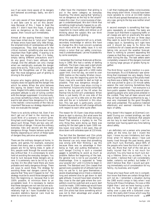ous if we were more aware of its dangers and behaved accordingly. Sadly, we don't do this.

I am very aware of how dangerous gliding is and take care to act on this awareness. Because of this, I hope to beat the odds. If I didn't have this hope, if gliding were as dangerous as the odds make it appear, then I would quit immediately.

Almost all the soaring friends I have lost have been killed due to "pilot error". Some of these errors have been silly little things, the simplest kinds of carelessness with fatal consequences. They died because at the critical moment, something else was more important than flight safety. If soaring is to become less dangerous than it is today, simply taking different precautions won't do any good. One's basic attitude must change. And the attitude can only change when we realistically evaluate the danger every time we fly. That is why I have fought against the thoughtless use of the saying that "the most dangerous part of gliding is driving to the airport."

Anyone who begins gliding with this philosophy does not appreciate the danger into which he enters. When the pilot believes this saying, he doesn't have to think any more. Neglect kills safety consciousness. The prevalent attitude is one of lulling comfort with the danger suppressed. Unconsciously, you know something is there, but you don't want to talk about how dangerous it is. Why is the realistic consciousness of the risks so important? Because our strategy depends on how we evaluate the danger.

There is no activity without risk. Even if we don't get out of bed in the morning, we could think of a scenario in which something bad could happen. But we don't worry about such things. There are two very different kinds of danger. First are the ordinary everyday risks and second are the really dangerous things. People behave quite differently depending on which of these types of dangers they perceive are present.

There are the ordinary dangers at home, in sports, and games. For example, everyone knows that every year a certain number of people are hit by falling trees. In spite of this, people walk through the woods every day without fear. It is unnecessary to work hard at avoiding the everyday dangers. You trust to luck because these dangers are so rare. It is extremely rare to be hit by a falling tree. On the other hand there are more probable and really dangerous things. There are ways to avoid these. The strategy for avoiding these real dangers cannot be to assume that "they won't happen to me". The strategy must be to avoid those dangers right from the beginning or, because that is not 100% possible, to minimize them to an acceptable level. It is necessary to realize that these dangers are not rare but are actually rather likely. The dangers in gliding are relatively high as I have illustrated by my macabre statistics. Special care must be taken to survive our sport.

I often have the impression that gliding is put in the same category as everyday travelling. The idiotic saying that "gliding is not as dangerous as the trip to the airport" makes this clear. Our consciousness of danger is underdeveloped. We don't think that something might actually happen to us; others maybe, but not us. We have flight safety inspectors to insure safety and relieve us of thinking about the subject. We can think about other aspects of gliding.

What the safety inspectors tell us is, at best, secondary knowledge or advice. We have to change this. We must concern ourselves much more with the safety issue. It is not simply a rumor that our safety consciousness is underdeveloped. Let me illustrate this by some examples.

I remember the German Nationals at Bückeburg in 1990. We had a variety of starting methods. The Open class used a start photo and unlimited start gate height. The other classes used a start gate with a 1000 metre upper limit. One hot day, we went to over 2000 metres on the nearby Wiehen mountains. This was the beginning point for the Open class who wanted to start as high as possible. That was dangerous enough there were 35 Open class ships circling in one thermal. Anyone who knows what happens in the top part of the lift when the thermal hits its limit will understand. When there is just barely lift on one side of the circle, you can hit a little sink on the other side and the air is turbulent in this situation. This last part is particularly uncomfortable because the aircraft change altitude with respect to each other quite often.

The reason for 35 Open class ships waiting there to start is obvious. But what were the 80 other Standard and 15m ships doing up there? That remains a mystery to me. The only thing they were doing up there was waiting for the start gate to open 1000 metres lower. And when it did open, they all dove down with airbrakes open at 110 knots.

The fact that the Standard and 15m pilots squeezed the last 50 metres of height out of the thermal can only mean that something was wrong with their thinking. I say this because there was no advantage in their being so high and putting themselves in such danger. Circling in such a crowded gaggle is something to avoid as much as possible. Before the beginning of the task, the general rule is not to put yourself at a disadvantage. One is supposed to "keep your powder dry" until it is time to begin in earnest. The Standard and 15m classes that gained every possible bit of altitude had not only no use for it, but gave themselves a severe disadvantage since it took a relatively long and extreme dive to get down to start gate altitude. It would have been smarter to stay close to the start gate where the competitors could be watched and a quick start could be made. 1300 metres agl would have been a much better position. The Standard and 15m pilots had done something which was not to their advantage and unsafe at the same time.

I call that inadequate safety consciousness; they simply didn't think. It would have been more sensible to circle at 14-1500 metres in the lift and spread themselves out a bit. In any case, going to the top was neither smart nor safe.

A second example is something that happens repeatedly at contests. The tasks are chosen such that there is opposing traffic or all classes are sent on practically the same course. During the first two or three days they seem to avoid this but after a while it creeps back in. Something isn't right here and it should be easy to fix. Since the conditions for all classes are the same, even taking into account the weather forecast, there is nothing to prevent separating the classes so that they wouldn't even see each other during the day. The task setters seem completely unaware of the dangers involved in having large groups of gliders flying together.

The third thing I want to mention is a positive example. At a US Nationals I saw something that impressed me very deeply. Every morning at the beginning of the pilots meeting there was a Safety Talk. Each day someone was picked to give a 10 minute safety session the next morning. Sometimes they were rather unpolished — not everyone is a born public speaker. But they were all plainspeaking people who were pilots entered in the contest. They had all been around and they all had something worthwhile to say. I was very impressed by the good thoughts that were presented. The audience listened attentively and seemed interested in the topic of safety.

Why doesn't this happen at [German] contests? During our contest briefings, we talk about details in the handouts that people are too lazy to read beforehand. I can't remember ever having spent any time talking about safety.

I am definitely not a person who preaches safety all the time, nor did I invent the topic. I know my own limitations, but I also know what I'm talking about. I have just barely lived through the past twenty years with much luck. Normally, about 80% of the people who have the kind of accident I had, die. More than half of the rest are so badly injured that life is not much fun anymore. You only have so much luck during a lifetime. Since my accident, I try to be careful. I believe that I am considerably better, certainly not perfect, but better. If I didn't believe that, then I would quit gliding immediately out of consideration for my family, my business, and myself.

Those who have flown with me in competition know that there are certain things that I will not do. I remember a situation during the 1985 world comps in Italy when I was flying with Klaus Holighaus. He was a little higher than I and we were having a problem. He flew out of the light rain in the valley over a pass with a turbulent crosswind. We really didn't know which way the wind was blowing and we could  $\Rightarrow$  **p18**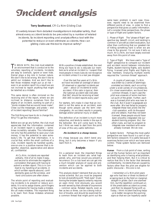# **Incident analysis**

### **Terry Southwood**, CFI Cu Nim Gliding Club

It's widely known from detailed investigations in industrial safety, that almost every accident tends to be preceded by a number of related incidents. So incident reporting and analysis offers a tool with the potential to reduce or even eliminate accidents. How can gliding clubs use this tool to improve safety?

### **Reporting**

TO BEGIN WITH, the club must establish<br>an environment that is conducive to the<br>voluntary conoring of incidents, incidents voluntary reporting of incidents. Incidents are easy to overlook, ignore or even hide. Denial plays a big role in human nature. We don't like to be wrong. We don't like to admit our mistakes. And we don't like to feel those mistakes might put us at risk even in an aviation sport! As a result we are not inclined to report anything that might be labelled as a mistake.

This same denial is often mirrored on the receiving end of the report, where we are inclined to distance ourselves from the stigma of an incident, wanting no part of a "dumb mistake that we would never make". Chew out the messenger, and presto — end of incident reporting! Sound familiar?

The first thing we have to do is change this. Why? To get the information.

Before we can go any further, the club must appreciate that the information contained in an incident report is valuable — sometimes incredibly valuable. This information not only has the potential to save your club money, it has the potential to save somebody's life. To get that information, it is crucial that, within the small confines of a club, incident reports be handled quietly, one-on-one in a positive manner that is respectful, objective, appreciative and above all, confidential.

At Cu Nim, incidents are reported verbally, first of all to make it easy, and second to eliminate the negative connotation that goes with having to submit a written report. This is in contrast to my handling of accidents, in which written reports abound, confidentiality goes out the window, and hard conclusions are often drawn.

The whole point of reporting and evaluating incidents is to prevent or reduce accidents. It is not to assign blame, point fingers or flay someone for having made a mistake. We *all* make mistakes. The important thing is to learn from those mistakes wherever possible.

### **Recognition**

With a positive climate established, the next thing we have to do is educate our members as to what an incident is. I suspect that most people in most clubs do not recognize an incident unless it is a real jaw-dropper.

Over the last five years at Cu Nim, we have recorded an average of about 20 observed or reported incidents per year — about 15 incidents to every accident. If this ratio is typical, then the national accident rate indicates that SAC should be receiving at least 300–400 incident reports every year!

For starters, let's make it clear that an incident is not the same as an accident, even though some people use the term interchangeably. An accident results in property damage and/or personal injury or death.

The definition of an incident is much more subjective, and tends to reside in the eye of the beholder. We will come back to this, but I think we need to start from the point of view of this very useful definition:

### **An incident is a cheap lesson.**

It's cheap because you didn't bend anything, but it only becomes a lesson if you learn from it.

### **Analysis**

On a personal level, the important things to learn from an incident are: what happened, why, and how would you prevent a recurrence. On a club level we can get into a much broader analysis of cause and prevention which can be applied to both incidents and accidents.

This analysis doesn't demand that you be a rocket scientist. But you must be prepared to look at everything with "fresh eyes". Questioning the broader aspects certainly requires an open mind. And obviously you would be well served by that ultimate of oxymorons — common sense. Related reports, even as few as two or three, can be a strong indication of trouble, and should be examined for a common thread that might point out the

same basic problem in each case. However, reports need to be examined from different points of view, in order to find a perspective that gives us useful information. Let's consider three perspectives, the phase or type of flight and system factors.

1 Phase of flight The "phase of flight" perspective (eg. takeoff, circuit, and landing) is common in aircraft accident evaluation, but other than confirming that our greatest risk of hitting something hard is when we are close to the ground, I'm not sure it tells us much. At Cu Nim, we have largely evolved away from this point of view.

2 Type of flight We have used a "type of flight" perspective to compare our incident and accident record between introductory flights, student training flights, solo student flying, licensed pilot flights and flights by new members. Analyzing multiple events required the "common thread" approach.

A couple of years ago, Cu Nim was bitten by a series of seemingly unrelated accidents, each occurring under a wide variety of circumstances. On closer examination, we found two common threads. In each case the pilot was unaware of some mechanical quirk of the glider. Further, each was a licensed pilot who was new to the club. But it wasn't scapegoats we were after. We had failed to properly integrate these new pilots into the club operation, with its thousand and one details. Had they not been licensed, these people would have been smoothly integrated into our student training program. But, like other clubs, we had no program to integrate new members who were already licensed. We do now.

3 System factors Perhaps the most useful perspective we have found is a sort of system factors viewpoint. It is useful because it examines factors over which we have some control. These system factors are itemized below:

**Human** From a club point of view, sorting out all the human factors isn't as important as identifying who is having what problem, and then helping them. But it is critical to realize that this is the factor that demands confidentiality. Incidents that are caused by factors other than the pilot are eligible for public discourse — this one is not.

I remember a Cu Nim pilot years ago who had two or three incidents of scraping back to the field on marginal, straight-in glides. Each one alarmed him, but the repetition continued until the predictable accident occurred, and then he stopped flying with us. Today, I think incident tracking helps us to better recognize the warning signs so that we can hopefully assist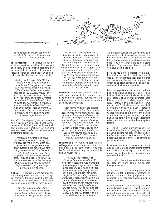

### such a pilot and prevent not only the accident, but the loss of membership that so commonly follows.

**The environment** This includes not only wind and weather, but things like airspace and density altitude. Potential problems may be impossible to correct, but they can at least be identified, and pilots can be educated to make allowance for these variables.

During the first days of the '96 Nationals in Red Deer, a number of competition pilots experienced potentially nasty wing drops while taking off with water ballast on a runway bounded by lights. At subsequent pilot meetings, there was a clamor for more power out of the towplanes. I suspect a lot of people never did realize that in flying at 3000 feet above sea level, they had left the benefits of their usual thick air at home. Those of us from Cu Nim meanwhile, had come down in elevation and were enjoying a small increase in performance!

**Aircraft** Every type of glider has its strong and weak points of design, handling and behavior. Individual gliders will have their own quirks. Simply making your members aware of these imperfections can be a strong deterrent to accidents.

Although I think that Blaniks are an excellent glider for training, they too have their foibles. The weak overcentre lock on the spoilers makes them susceptible to the spoilers coming open on takeoff. The flap and spoiler handles are not only close together, but are the same size and shape, making it easy to mix them up. And this year, we had a few instances of spinning off a spiral dive due to a high speed stall. Not good things, but good things to know.

**Airfield** Runways, ground facilities and surrounding terrain are difficult to change, but spreading the knowledge that they can contribute to incidents and accidents helps everyone to compensate for these factors.

After buying our land at Black Diamond, we created a new cross runway 14/32 and immediately began to experience low approach incidents

onto 14 which, having trees and a boundary fence to cross, was a real concern. Conversely, 32 has a reasonable undershoot area, yet I have never seen a low approach to this runway. We think the cause is the low ground under the base leg to 14, as opposed to the high ground on the base leg to 32. Each has the capacity to visibly influence the pilot's circuit judgement. We can't change the surrounding terrain, but at least we can identify this potential problem to pilots, without having had to buy the information through a costly accident.

**Operation** Club rules, routines, and procedures are a major factor over which we have complete control. But we must be willing to look for their culpability in both accidents and incidents.

A few years ago, one of the nastiest possible incidents — towplane upset caused us to re-evaluate details of our operation. Strong emphasis was given to proper release procedure to ensure that the trigger for the turn off tow was not the act of pulling the release — but the visual confirmation, and verbalization, that the "rope is gone". And we dropped the routine of boxing the wake during spring check flights in favour of a simpler "T" maneuver that was safer for rusty pilots.

**Flight training** As we have been granted self-regulation over student and instructor training as well as licence flight testing, this is a factor that we not only can control, it is one we must control.

As part of our response to three spoiler-open takeoffs in '93, we began to teach the rudder wag and other emergency signals on tow. We found that, unlike rocking the wings, a rudder wag varies greatly between towpilots. The two can look surprisingly similar, and using radios for immediate feedback is invaluable. We also modified the "cannot release" signal from the glider, moving to the left rather than the right before rocking the wings. The left side was not only more visible to the towpilot, but could not be confused with the normal departure turn to the right.

A perspective such as this can not only help you analyze both the cause and the prevention of incidents, but it can illuminate many things that you never noticed as being incidents. You don't even have to call them incidents. They are cheap lessons, and all you have to do is see them.

Let's analyze a typical incident from a system factors perspective and see how it works. For our example, let's drag out that old nemesis  $-$  the low, flat approach  $$ which is so often paired with its ugly accomplice, the low turn onto final.

From my experience, the low approach on final is so ingrained at some clubs, it is an incident that is almost invisible. (If a sizable portion of your final approach uses little or no spoiler, I'm talking to you!) Sure, sure, I know, if this is so bad how come nobody but What's-his-name has ever had a problem with it. Watch your operation for a while. Critically. With fresh eyes. What's-his-name isn't the only one having a problem. He is just the only one who had an accident. An incident analysis might raise questions in all of the below system factors:

a) Human Some pilots are going to be more susceptible to misjudging a low approach, but is the real problem obscured by the fact that most of the time, most of your pilots have the skill or the good fortune to get away with it?

b) The environment Can you spell wind gradient? The low approach might present no problem on most days, if most of your days have light winds. Are windy days a common thread?

c) Aircraft Few gliders tend to be underspoilered any more, so are the spoilers being under-used?

d) Airfield Surrounding terrain can influence pilot judgement, obstructions should influence pilot judgement. Are approach incidents only happening on a certain runway?

e) The operation At what height do you normally start the circuit? If that height was moved one or two hundred feet higher, would the problem go away? If people get razzed for anything other than a short field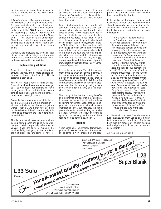landing, does this force them to lean towards an undershoot? Is the razzing your real problem?

f) Flight training Does your club place a heavy emphasis on half-spoiler approaches? Do your students really understand what you mean by this? Or have you inadvertently turned the **SOAR** process around by specifying a course of **A**ction to the students which may not apply to the **S**ituation — if the situation is an undershoot. Should your flight training be changed to de-emphasize the half-spoiler option and instead focus on better use of the aiming point?

Obviously the analyst is key to the success of the process at this stage, and the question of who should fill this important role is perhaps answered in the next step.

### **Implementing solutions**

Once the problem has been identified through analysis, one or more possible solutions can then be implemented. This is easier said than done.

First of all, people tend to resist change. (How did such an insecure species ever get as far as we have?) Your attempts will have to be gradual. If you push too hard, people tend to push back. Old habits die hard, so don't expect overnight results.

Secondly, by bringing incidents into focus, people are going to have the impression at least initially — that things are getting worse! After all, we never had all these incidents before, did we? Unfortunately, this is the price of leaving the land where ignorance is bliss.

Thirdly, now that all these incidents are happening, some people are going to want all the gory details, especially who was involved. If you are going to maintain the confidentiality that gets you the reports in the first place you are going to have to resist this. The argument you will be up against is that old adage about learning from other people's mistakes. Let's talk about that, because I think it consists more of fond hope than reality.

People, including glider pilots, run the full spectrum. At one end we have a small percentage who really do learn from the mistakes of others. These people tend not to have accidents themselves. Hopefully they already fill key roles in your club. At any rate, I think these are the people who should be in charge of your incident/accident analysis. At the other end, we have another small percentage who don't even learn from their own mistakes, much less anyone else's! And in the middle we have the majority of people, who I am convinced do not learn anything from any situation until they have personally experienced it themselves. Up until then, it is simply someone else's story. Someone else's problem.

Here's the good news. The club environment offers us a way out of this dilemma. If the people who do learn from others are in a position to affect improvements, then it benefits everyone in the club. Reinforce the improvements with some positive peer pressure, and the club ends up being a very potent vehicle for the safety of all its individual pilots.

This is why I think that the primary benefits of incident tracking occur at the club level. However, factors such as aircraft problems or training have implications that reach beyond any one club to a national or even international level. But here too, the same pre-requisites for report handling and analysis apply. Otherwise the flow of reports is again put in jeopardy, and without those reports, no one benefits at any level.

### **Results**

As the handling of incident reports improves, you should see an increase in the number<br>of incidents. It won't mean they are actuof incidents. It won't mean they are actually increasing — people will simply be reporting more of them. It will mean that you have cleared the first hurdle.

If the analysis of the reports is good, and reasonable solutions are implemented, you should eventually see a reduction in the accident rate. Monitoring this will mean having to keep some continuity in club accident records.

In five years of incident analysis at Cu Nim, we have had seven injury-free accidents - two write-offs, two with substantial damage, two with moderate damage and one that was very minor, for an annual rate of 1.4 accidents per year. In the ten years prior to this period, we recounted from memory over twenty accidents. Given that the actual number was most certainly higher, I would guess that in the last five years, we have cut our accident rate in half. Please do not conclude either that we are satisfied with the current accident rate, or that the reduction is due entirely to our process of incident tracking and analysis. I wish I could say that the lessons we learned were cheap ones. But we paid dearly for some of the information I pass along today. However, I am encouraged that the accident rate is dropping, and that two of the last five years, including 1997, were accident free. And I am confident that, thanks to some good analysis, we have a clear picture of both the cause and the cure of the accidents we did have.

Accidents will not cease. There is too much luck involved, too many variables, too many factors we cannot control. But I firmly believe that this process of incident tracking and analysis is a tool that can reduce our accident rate.

All we need to do is use it. ❖

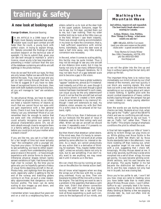# training & safety **Stalking Theory** STALKING THE

### **A new look at looking out**

### **George Graham**, Bluenose Soaring

N AN ARTICLE in a 1996 issue of *free*<br>*flight*, Herk Stokely lamented that older,<br>weaker eyes could spot combat aircraft<br>faster than he could, a young buck with N AN ARTICLE in a 1996 issue of free flight, Herk Stokely lamented that older, weaker eyes could spot combat aircraft perfect vision. In trying to explain things, Mr. Stokely provided the findings of some excellent research on the technical side of eyesight. I'd like to submit that, given one can see well enough to maintain a pilot's licence, visual acuity is far less important in preventing a midair collision than the size of the database containing aircraft-to-aircraft sightings in the pilots memory.

How do we see? Not with our eyes, for they are only lenses. Rather we see with the mind behind the eyes. True, lose an eye and you get no light coming through that lens, but I'd like to suggest at if you have no database of recognized forms in the brain, then even with both eyeballs working tickity-boo, all you will manage to "see" are variations of light.

To see physical things, we have to experience them as physical forms. As an infant, we need a nascent memory of objects so much that we cannot focus our eyes until we gain experience with a few general forms. Check it out; how far back into your infancy can you remember? Most of us can remember back far enough to realize that we were well into childhood before we could actually recognize our parents by physical characteristics alone. Oh, we all soon absorb enough clues to recognize them in a family setting, but how old were you before you could pick out your mother amid a distant crowd?

If you are like me, you sat in a high chair for a fair length of time but never actually "saw" the contraption until a younger sibling took your place. I'd like to suggest, that to see something, we have to either experience it — usually from understanding its purpose or place in the world — or have enough experience with similar forms to discern it. Otherwise physical shapes remain barely sensed variations of light. Fast forward from high chair to cockpit. By the time you've gone solo you've hopefully gained a history of visual forms depicting aircraft in the air. Photos help, and sightings from the ground work, especially useful is getting to the far end of the runway and watching gliders coming in on final, as such a view reasonably approximates that dangerous on-thehorizon profile. The brain can do some scaling to size images up and down, and even change shapes a bit.

I remember when I was about five years old and on a visit to a neighbouring farm, our elders called to us to look at the deer high in the upper pasture. Everyone, eager for me to see my first deer, pointed them out to me, but I saw nothing. Then my older brother told me to look at the little cows up in the field. Wham! I saw them instantly. There was enough scaling accommodation in my brain to make the conversion; that is, I had sufficient experience with similar forms. Admittedly, since the deer were at least a half mile away, very little scaling conversion was necessary.

In the end, when it comes to scaling ability, this facility may be quite limited. Thus it may not be enough to see any one aircraft at one distance (one scale), but it may be handy not only to see many different flying machines, but in frequent iterations, for it may not take much of a gap between scale size to become a gap in the vision.

Am I the only one to have a glider suddenly "appear" beside me, almost as if it materialized instantly out of thin air, even though it was moving slowly and even though a good lookout had been maintained? In such cases, can visual acuity be the only determinant? Could it not be that the aircraft had arrived at a place where it created a form pretty close to some template in my memory? Although I need arm extensions to read, my distance vision amazes my wife (but then it's a wife's duty to be amazed at her husband, right).

If any of this is true, then it behooves us to do our lookouts like the good ol' boys of Alabama used to do their voting: early and often. When we see an aircraft we should re-view it repeatedly even if it presents no danger. Pump up that database.

But then there's that streetcar called desire. If the mind sees, then it's handy to remember that our mind will not work at all unless perked by some affection (ie. interest or desire). As a result, we cannot productively do any action that is a derivative of thinking, for example, "Hey, maybe I better check right", unless we actually desire not only to look, but to see something. If we don't really want to see anything, we may never see it until it smacks us in the face.

We can check this out by running an exercise on the affection for mental action itself.

We all know what happens when we drag the wings out of the box with the cu popping overhead. Hurry up time. Then one towplane trundles off the line with a miss in the engine. The last thing we want to see is a problem in the assembly that takes a calm slow look. Didn't that aileron connection feel a little odd? Doesn't the dive brake locking mechanism feel a tad soft? One look at those expanding cu push such concerns to the background of our minds, and

# **Mountain Wave**

**2nd edition, improved and expanded. The best (only) book about wave soaring in Canada.**

**Action, History, Lies, Politics, How Things Go Rong – what more could you ask for !**

**\$20 + \$4** p&h, \$18 for 5 or more (and you also save some on the p&h) clubs note – a good awards item

Tony Burton & Ursula Wiese Box 1916, Claresholm, AB T0L 0T0 ph/fax (403) 625-4563 *free-flt@agt.net*

so we roll the glider into the line up and hop in without seeing that the tail dolly still props up the tail.

The important thing here is to notice how immediately our mind is driven by our chief interest of the moment, and how quickly it can block any warning signals. We must look out with a real desire and intent to see something or our scouting about will return a blank nothing. A Spitfire pilot with the recent combat experience of heavy calibre bullets zipping through the perspex has got a keen interest in really paying attention when looking out.

Even the words we use during downwind checks can help. Students at our club, when they get to the "Traffic" part of the SWAFTS check and see no conflicting aircraft movements, are encouraged to say out loud, "I see no Traffic Yet", rather than "There is No Traffic." This simple change of emphasis conditions the pilot to refresh the scan.

A final tall tale suggests our little ol' brain's ability to re-form things can play tricks on us. While gliding over Nova Scotia in the Austria at 8000 feet (that's tall by Nova Scotia standards) late in the afternoon, I was more nodding off than looking out, when my guardian angel hit me over the head with a 2x4, suggesting that I check left. Amazingly, Mickey Mouse stared at me. It took a few seconds, but Mickey's wide smile morphed into a set of silver wings, his nose got pointy, his eyes became glinting windshield sections, and his ears became two jet engines. The jaunty feather in his hat became the distinctive tail feathers of a DC-9, and this new creature not only had me in its path, but was closing fast.

Since you're too polite to ask, I won't tell you how close we came to meeting; since you have better taste than to make jokes about Mickey Mouse vision, I won't either. Suffice to say I promptly beat it for home, opening the dive brakes to stick-handle a shaky landing at Stanley a few ear-popping minutes later. So, look out often. And do<br>it passionately it passionately!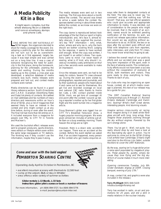### **A Media Publicity Kit in a Box**

It might seem complex, but the whole shebang fits on a diskette and runs on envelopes, stamps and phone calls.

ONG BEFORE THE 1997 NATIONALS AT SOSA began, the organizers decided to shoot for media coverage for the event. Developing a publicity plan for the nationals did not turn out to be as overwhelming a task as it first appeared, largely because it was kept simple and was carried out on a long time line. It was a case of everyone recognizing the need for publicity in the first place, doing the homework, planning for the unforeseen, planting the seeds and waiting. During the months leading up to the contest, a crisis plan was developed, a selective database of media contacts was built, media releases were prepared and laid out, and contest media contacts were named.

Media directories can be found in a good library reference section. Scott's Directories and C.A.R.D. (Canadian Advertising Rates and Data) list plenty of contacts. We settled on mail addresses and fax numbers of news directors and newsrooms within an hour's drive of SOSA, plus a list of magazines that seemed likely to have an interest in the contest and who might contact us at any time before, during or even after the event. The final list had more than 60 entries on it. It included everyone from a magazine for people over fifty, to CITY TV in Toronto and Maclean's.

We used the buckshot effect: releases were sent to program producers, sports directors, news editors or lifestyle editors even within the same large newspapers or TV stations. The thinking was if they couldn't use the information, maybe they'd pass it along.

The media releases were sent out in two mailings. The first was done about a month before the contest. The second was timed to arrive a week before the contest. Responses started coming in about three weeks before the contest, so we knew we were on the right track.

The copy (some is reproduced below) took advantage of the fact that our sport is highly individualistic and, let's face it, almost totally obscure. It also supplied the journalist's key "W5" information — who, what, when, where and why (as in, why the heck should we bother covering this?). Judging by the response, it seems to have worked well enough. When the copy was written, I put myself in an editor's shoes. Two questions came to mind: I've never heard of soaring, what is it? And, why should I invest our incredibly costly airtime/ink on this? Just a few seconds were available to make an impression.

Once the releases were sent, we had to be ready for visitors. Several TV crews showed up. During the event we were visited by photographers, reporters and journalists, and by their audiences: people who heard about it and came out to see for themselves. We got live and recorded coverage on local and national CBC radio thanks to Herrie ten Cate, a CBC contact planted inside SOSA. Heck, we got tons of coverage! At one point after the contest I wound up taking a reporter's mother up for her first glider flight and the event turned into a magazine article.

Doug Bremner's glider was rigged live on CITY TV's Breakfast Television show, a hugely popular morning program. We were given almost ten minutes of airtime just after 8am on a busy weekday morning. Thank heaven the wings are so light.

However, there is a down side: accidents can happen. There was an accident at the contest. Before the event started we asked that, if an accident happened, every person at the contest who got media enquiries al-

### **Come and soar with the bald eagles! PEMBERTON SOARING CENTRE**



Operating daily April to October in Pemberton, BC

- excellent mountain scenery with thermals to 12,500 feet
- camp at the airport, B&B, or stay in Whistler
- area offers a wide variety of summer activities

### **Glider rentals: L-13 Blanik, L-33 Solo Instruction: glider pilot courses or book a number of lessons**

For more information, ph (604) 894-5727, fax (604) 894-5776 e-mail: jwatson@mountain-inter.net

ways refer them to designated contacts at the field. The idea was to never say "no comment" and that nothing was "off the record". That way, we had official speakers who could give accurate and appropriate information to media. It was decided, out of consideration to the people who might be involved, that in the event of an accident, names would be withheld pending notification of the families. As well, we would not release speculative information. Nor would we say anything without authorization to do so. At SOSA, the two or so days after the accident were difficult and filled with telephone calls from reporters, radio interviews, and visits from TV crews. You never know what they're going to ask.

I believe the overall result of our publicity efforts and our accident plan was a good long term impression of the sport, even in the face of adverse events. The contest publicity efforts would not have been a success without the cooperation of everyone at SOSA, both members and visitors. They were ready to drop everything to help. Thanks to each of you.

For clubs who may be organizing an open house, contest, etc at which media coverage is planned, this text of our release may be a guide for you:

"The 1997 Canadian National Soaring Championships July 8 through 17, Rockton Ontario (between Cambridge and Hamilton). Soaring? What's that? Great stories. Interesting people. And stunning visuals.

Imagine serious cross-country air racing. Now imagine doing it in sleek white fibreglass aircraft with long, long wings. Now imagine those airplanes zooming through the sky without engines. Powered by the sun's energy alone.

There. You've got it. Well, not quite. You really should drop by and have a look at this fascinating sky sport in action. You're welcome to come out to the SOSA Gliding Club airfield near Cambridge, Ontario (right next door to the African Lion Safari, outside Rockton) to cover the 1997 Nationals.

By the way, soaring isn't a huge dollar prizeo-rama sport populated by megabuck players. These people fly, quietly, simply because they love flying and the big sky. Which of course makes it much more interesting.

Opening ceremonies Tuesday, July 8th. Glider Aerobatic display at 10AM. Closing banquet, evening of July 17th."

(A map, contact list, and graphics were also included in the release.)

**Terry McElligott** (905) 848-5429 infostructures@inforamp.net

Terry has worked in radio, on-air and promotions for 25 years, and did a stint in media relations in the nuclear industry.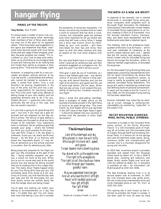# **hangar flying**

### **FIRING UP THE TROOPS**

### **Tony Burton**, from ff 2/95

It's always been a matter of some club concern and hand-wringing when seemingly keen members of two or three years standing drop out of the sport for no apparent reason. There have been past suggestions in this space and elsewhere that these "new" pilots have become bored with local flying at the post-solo stage of their progress, probably because progress has ceased. "It's incumbent on your club to keep pilot enthusiasm up by providing an encouraging level of post-solo training and to do nothing that will hinder their ability to progress in their soaring skills." That was the message, right?

However, in preparing a talk for a very successful pre-season soaring seminar at my club last month, I remembered that enthusiasm cannot be handed to someone on a plate, it comes from within. True, a club shouldn't be placing impediments in the way of the pilot, but this pilot has a personal responsibility for becoming bored, too! This is the more 'right wing' attitude of taking charge of your own destiny and not expecting someone else to do it for you. (Pardon the pun — I guess the club's duty is politically the left wing in this case, and two are usually required.)

It is you that is going to do great things this year — but only if you have set a goal for yourself and are prepared for the day before it arrives. The felicity of goal setting is that it keeps you focussed on what you have chosen to be important. Your experience level is irrelevant. Set an ambitious goal that exceeds your grasp — what's the furthest you think you could possibly fly this June now add 50%! Glass or 1-26, the glider is irrelevant. Goals you can reach are Mickey Mouse — be the Man of La Mancha and dream the impossible dream. If I may define an adventure as a trip whose outcome is uncertain, then fly adventurously often.

Being physically prepared for the flight can gain you fifty kilometres at the start of the day — being mentally prepared can gain you a whole lot more at the end. When you're out on course stay alert to the world around you and always be telling yourself that you're wasting time in this crappy thermal. The really Wow! flights happen when all your fine flying skills have put you 150 kilometres away from home at 6 pm and, Glory of Glories, you find that the day lasts and lasts and the lift diminishes but you float slowly across the airfield about the time the hangar doors are being closed.

You're beat, but nothing can match your feeling of accomplishment on a day like that — it's better than sex! You will never, ever have that feeling if you don't consider

the possibility of trying the impossible. I've thrown out some big numbers here to make a point to everyone that has done a crosscountry, but impossible goals are perhaps even more important for all you brand new pilots that still have a shiny Silver C badge and a shiny new licence. Don't be intimidated by your club pundits — grill them mercilessly for their tips and tricks, then team up with the other newbies and plan an assault on the club Silver distance milk run.

My very best flights have occurred on days when I planned an ambitious task and then someone suggested an outrageous one. My goal this year? Five 500's! What's yours?

That goal is best set out of Invermere, so I have a new flatland goal now — any decent chance of success will require a long soaring day with decent thermals and just the right wind direction and speed and the use of some high terrain 250 km away. When that rare day arrives, it will present the possibility of earning four Canadian records in one flight!

Since I wrote this goal-setting manifesto, there is probably no better article on the business of putting yourself in the right frame of mind to do great things than "The Inner Game" by Alan Reeter which was reprinted in the 3/97 issue of free flight. Read it again — it should be stapled into your log book or printed onto the backside of every flight declaration!

### *The Airman's Grace*

*Lord of thunderhead and sky Who placed in man the will to fly Who taught his hand skill, speed, and grace To soar beyond man's dwelling place.*

*You shared with us the eagle's view The right to fly as eagles do The right to call the clouds our home And through your heavens, grateful roam.*

*May we assembled here tonight And all who love the thrill of flight Recall with twofold gratitude Your gift of flight Your gift of food. Amen*

thanks to Candace Heath, Cu Nim

### **THE BIRTH OF A NEW AIR SPORT?**

In response to the dramatic rise in interest world-wide in simulated flying using personal computers (with programs such as Microsoft Flight Simulator), the Fédération Aéronautique Internationale invited leaders of simulated flying organizations to an historic meeting in Paris on 8 December. Four FAI founder members: France, Germany, Italy, and Spain were represented, and the Netherlands submitted a detailed report.

The meeting, held at the prestigious headquarters of the Aero Club de France — which next year celebrates its centenary as the world's oldest national aero club — agreed that the FAI should help develop international contest rules for simulated flying and should encourage the formation, within its national member organizations, of simulated flying groups.

An FAI Simulated Flying Working Party was established comprising representatives from FAI Air Sport Commissions (to ensure that simulated flying competitions remain as close to reality as possible) and leaders of national simulated flying federations. The group will assist in developing contest rules and defining levels of personal achievement. A report will be made to the FAI Council in May 1998. An FAI Simulated Flying mailing list has been established.

Anyone interested may subscribe by sending an e-mail message to simflying-inforequest@fai.org mentioning "subscribe" in the subject line.

### **ROCKY MOUNTAIN DIAMOND MINE, INITIAL PUBLIC OFFERING**

Invermere is located in the Columbia River valley portion of the Rocky Mountain Trench. It is 100 kilometres south of Highway #1 at Golden and 250 kilometres west of Calgary through Banff and Kootenay National Parks. It is famous for its hot springs and Lake Windermere water sports, skiing, numerous duffer and championship golf courses, and is a mountain playground for young and old alike.

At 2820 feet, Invermere airport is privately operated and leased from the Shuswap Indian band by Babin Air. It has a 3000 ft paved strip, camping and tiedowns, and avgas. Scenic power flights over local glaciers are offered by Babin Air. A towplane is available on site — for information call Matt Kazakoff at (250) 342-3006.

The East Kootenay Soaring Club is in its second season now at Invermere. In 1997 the club licensed seven new glider pilots. We are conducting a membership drive and invite interested pilots to call "Dr. Don" at (250) 342-3201.

This soaring site is well known to the informed as probably the finest in Canada. It has been used for over 20 years by hang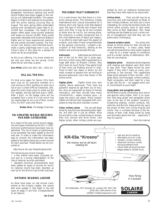gliders and sailplanes and more recently by paragliders. Numerous national and world record flights have been logged in this valley by our lightweight brothers. The season begins in March and extends to November, with the prime soaring occuring May to August. The early spring offers predictable soaring with exceptional lapse rates to 8– 10,000 foot cloudbase. The height of the season offers great cross-country potential with bases up around 14,000. Many pilots have been rewarded with Diamond distance flights and all have experienced memorable and varied mountain scenery. The Vancouver club, being a well-informed bunch, make a yearly pilgrimage here in July. See Trevor's story in this issue for a sample of what can be accomplished.

So this is our offering. You know where we are and you know we are young. Come share the air and help us grow.

**Don Miller** (250) 342-3811 (W), -3201 (H)

### **KILL ALL THE OOs**

It's time once again for Senior OOs from each club (or an executive member of a club having no SOO position) to send me a list of your current Official Observers. SAC does this every three years to weed out the OO register, and the last time was in 1995. After 1 April, no FAI badge claim will be accepted from a pilot of a club which has not resubmitted to me a list of their current OOs. Do NOT wait until March.

**Walter Weir**, FAI Badge Chairman

### **FAI UPDATED WORLD RECORDS FOR NEW CATEGORIES**

As a result of the new world record categories and types instituted by the IGC in 1997, minimum performances have been now established. The list of levels of performance to be exceeded has been added to the FAI web site. In order to make the information easy to consult, this information has been added to the tables listing the current records for each subclass. These tables can be consulted at:

### http://www.fai.org/~fai/gliding/records/

The following are recent changes:

• a few entries have been corrected (errors due to a wrong interpretation of the lists of national records submitted)

standard minimum achievements have been added for types of records for which no national record has been reported, as well as for the World Class Glider subclass.

### **ONTARIO SOARING LADDER**

As there have been no last minute claim entries to the Ontario Ladder, the results that were posted in free flight in the last issue on page 17 are final. Congratulations to Ian Spence.

**Ian Grant**

### **THE GREAT PILOT HIERARCHY**

It is a well-known fact that there is a hierarchy among pilots. This hierarchy crosses international and cultural boundaries for it follows strict and logical rules that depend upon the type of aircraft and mission that each pilot flies. It may be all but invisible to those who do not fly, but among pilots, this hierarchy is widely recognized and is the chief determinant of status and respect. In an effort to shed light upon this aspect of aviation, and make it more comprehensible to the general community, I present a description of that hierarchy, starting at the bottom and working towards the top.

**Astronauts** Astronauts are at the bottom of the list for their job is quite easy. Not only is their every effort supported by a huge staff down at Mission Control, they don't even do much flying. They spend most of their time just floating around in orbit. Proof of their low status is shown by the small number of people who are willing to become astronauts: just a few dozen in the whole world.

**Fighter pilots** Fighter pilots only rank slightly above astronauts. They have big powerful engines to get them out of trouble, they are supported by teams of trained mechanics, and their aircraft have many conveniences — radars, missiles, guns — to make the pilot's job easier. Many modern fighter aircraft are even equipped with computers to help the pilot maintain control.

**Other military pilots** The aircraft these pilots fly may be more demanding than fighters, but their job is just as simple: drive the aircraft to a site, unload troops or bombs, then turn around and drive home. Like fighter pilots, other military pilots are supported by such an extensive bureaucracy that they have little need to be resourceful.

**Airline pilots** Their aircraft may be as luxurious and well-maintained as those of their military brethren, but their job is more interesting, for unlike the bomber pilots, the airline pilots actually have to land when they arrive at their destination. Still, these landings are facilitated by such a wide variety of navigational aids that they are not particularly challenging.

**General aviation pilots** GA pilots rank ahead of airline pilots for their aircraft are more demanding — in many cases, these aircraft are powered by mere *piston* engines — they fly in a wider variety of conditions and to a wider variety of destinations. Still, they do use engines.

**Sailplane pilots** Sailplane pilots dispense with engines and depend upon their skills to stay aloft. Their status would be even higher if they didn't make so many compromises in the process. The capabilities these pilots demand of their aircraft — 50:1 glide ratios, reclining seats, control surfaces, flight computers, and their need for a tow to get into the air — all suggest some lack of commitment to pure flight.

### **Hang glider and paraglider pilots**

While there is some controversy as to which sub-species ranks higher, their is no question that hang glider and paraglider pilots rank at the top of the aviation hierarchy. Disdaining engines, control surfaces, tow vehicles, and the like, these pilots rely upon the power of their own living muscles and brains. Few in numbers because of the demands of their craft, these pilots fly head and shoulders above the rest ... especially if they fly supine!

from the Internet

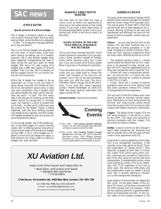# **SAC news**

### **OFFICE NOTES**

### **Special prices on B & Bronze badges**

The A badge is primarily issued to recognize a pilot's first solo flight, the B an early soaring flight, while the Bronze is designed — in part — to bridge the long gap between the C and the Silver C.

The A, B & Bronze badges are awarded at the club level. In recent years, clubs have been making increasing use of A badges; however, the B and Bronze badges have been neglected. Extrapolating the rates of sales during the past two years for these badges, SAC has a 111 year supply of B badges and a 996 year supply of Bronze badges! That is to say, SAC's inventory of Bronze badges should run out shortly before the 3rd millennium.

While the B badge has ceased to be as meaningful as it was in the old days of being bungy launched off hillsides to face the wind and perform actual turns, it does now give recognition that a student pilot has demonstrated the basic ability that defines the sport  $-$  to soar. This first major step in the process of climbing up the skills ladder should be recognized in concrete ways, like making it a point to present this pin to them. Another point is that next year the criteria for the Roden Trophy is being redefined, with the focus shifting towards club badge flying in general, and the number of B badges awarded to new solo pilots will count towards this award.

To encourage greater use of the badge system in the early stages of a pilot's soaring career, SAC is offering special discounts to clubs for bulk orders of B and Bronze badges during 1998. If 10 or more badges are ordered, a price of \$3 per badge will apply, a 50% discount. So, clubs, order in a stock of badges now, and use them.

### **INSANELY GREAT PHOTO WANTED**

The next issue of free flight will have a colour cover, so there is an opportunity to have one or two other photos on the inside covers. If you have a truly great photo of the soaring scene taken at your club or on a soaring trip, NOW is the time to send it to the editor.

### **GOING GLIDING IN THE USA? YOUR MEDICAL INSURANCE MAY BE USELESS**

This is just a small reminder that SAC Travel Health Insurance is available if you are planning a flying vacation outside of Canada. Many health insurance plans don't cover you if you are injured while flying a glider (Blue Cross here in Manitoba for example).

If you are planning to use coverage on your credit card you might want to contact the credit card company to be sure you are covered. Don't rely on the documentation they send you with the card. This documentation doesn't always list all the exclusions. If you want SAC travel insurance, contact "Health Advantage" at 1-800-216- 3588 and quote Soaring Association and agent number MP 93.

**Howard Loewen**, Prairie Zone director



27 Feb - 1 Mar **SAC annual general meeting,** Toronto. For info: Mike Morgulis (416) 695-3555 or Richard Longhurst (416) 391-2900.

18 Feb - 22 Apr **Erin Soaring Society Ground School**, Wed. evenings 7:30 - 10:00. Terry Miller Recreation Centre, 1295 Williams Parkway, Bramalea, ON. Call Leo Reypert (905) 792-2181, e-mail LReypert@aol.com or register at centre.



• stressed skin aluminum • composites

**Chris Eaves, XU Aviation Ltd, 2450 Blair Blvd, London, ON N5V 3Z9**

ph (519) 452-7999, fax (519) 452-0075 e-mail: xu-aviation@sympatico.ca DoT Approved Maintenance Organization 24-88

### **AIRSPACE UPDATE**

The pace of the Aeronautical Studies (ANS) reviewing the massive changes to Canadian terminal control areas (TCA) has been slow. The saving grace of these ANS is that they are thorough and at least attempt to be inclusive. Soaring continues to be very well represented and although we have not obtained all that we wanted, neither have our opponents.

**Ottawa** As you read this the form of the Ottawa TCA has been finalized and is in the process of being published. It is still large compared to similar American structures but from soaring's perspective there are some major differences that are critical:

• The airspace remains Class D — access cannot easily be denied and an ATC clearance is not required to enter, though contact with ATC must be established prior to entry and maintained while inside the TCA.

• Gliders still have a transponder exemption. As long as this is in place the only equipment required for a glider to operate in the TCA is a radio.

• Finally, there are a number of special operating areas around local gliding clubs that allow operation without ATC contact or transponders for the towplanes.

The net result is that the Ottawa area clubs should be able to maintain normal operations. Restrictions on local flying should be minimal and cross-country pilots should have free access to the TCA as long as radio contact with Ottawa Terminal is maintained.

**Calgary** The details of the Calgary TCA are still being finalized. It should be in place by the AGM. The issues and solutions to soaring's problems with the Calgary TCA are similar to those in Ottawa.

**Halifax** is next in line for an ANS, though it hasn't been scheduled yet. Bluenose was able to operate fairly well this past summer under a local agreement with ATC.

A big factor in the acceptability of the larger TCA is our transponder exemption. It has recently come under attack by the Air Transport Association of Canada (ATAC). Their objection is based on their faith in a black box called TCAS which gives pilots collision warnings and avoidance instructions. But TCAS only works for aircraft that have transponders. Understandably airline crews want everything inside a TCA to be detectable with TCAS regardless of the cost to other users, the technical difficulties, and the questionable impact on safety it would have. SAC is actively fighting to maintain our current transponder exemption.

Andy Pearson of NavCanada will attend the SAC AGM. As the team leader of the Ottawa TCA study, he has been involved with the ANS process from its inception. There are two sessions planned: a general presentation by NavCanada and SAC on the current status of the airspace hotspots in the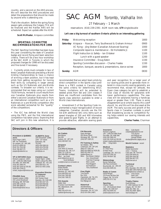country, and a second on the ANS process. We will describe the ANS procedures and detail the preparations that should be made by anyone who is attending one.

That's the situation. Before the spring flying season gets underway the Calgary TCA will be finalized and the Halifax ANS will be scheduled. Expect an update after the AGM.

**Scott McMaster**, Airspace committee

### **SPORTING COMMITTEE RECOMMENDATIONS FOR 1998**

The SAC Sporting Committee has been busy this year considering the state of Canadian badge and record flying and team selection criteria. There will be a two hour workshop at the SAC AGM in Toronto in which the proposed changes for 1998 will be discussed and fine-tuned if necessary.

• Currently pilots must compete in two of three Canadian Nationals preceding a World Gliding Championships to have a chance of winning a team position, but it has kept pilots from getting recognition for honing their skills by competing in larger arenas such as the US Nationals and pre-Worlds contests. To broaden our criteria, it is recommended that we keep using our current 70/30 formula, revised to count results from one Canadian Nationals plus results from either a second Canadian Nationals or from an international competition such as a US Nationals or a pre-Worlds competition (the score adjusted somewhat for the "quality" of the competition).

• The IGC has defined the World class using the PW5, and the first international competition has taken place. Expecting that SAC will join in this new adventure, it is

## SAC AGM Toronto, Valhalla Inn

### 27 February – 1 March

reservations (416) 239-2391 AGM room rate, **\$79** single/double

### **Let's see a big turnout of southern Ontario pilots to an interesting gathering**

| Friday   | Welcoming reception                                      | 1800 |  |
|----------|----------------------------------------------------------|------|--|
| Saturday | Airspace - Navcan, Terry Southwood & Graham Armour       |      |  |
|          | XC flying - Jörg Stieber (Canadian Advanced Soaring)     | 1000 |  |
|          | Composite repairs & maintenance - Ed Hollestelle Jr.     | 1100 |  |
|          | Flight Instruction & Safety - Ian Oldaker                | 1100 |  |
|          | Lunch with a guest speaker                               | 1200 |  |
|          | Insurance Committee - Doug Eaton                         | 1330 |  |
|          | Sporting Committee discussion - Charles Yeates           | 1330 |  |
|          | Reception, banquet, awards & presentations, dance soiree | 1800 |  |
| Sunday   | AGM                                                      | 0830 |  |

recommended that we select team pilots by direct competition in the Sports class (until there is a PW5 contest in Canada) using the same criteria for determining WGC Teams. Invitations will be extended to seeded pilots from Std and 15m classes if there are insufficient candidates from the Sports class selection available to enter a World class Internationals.

• Amendment 5 of the Sporting Code implemented a major reorganization of record categories. Canadian records use the FAI list with additional SAC-only items such as speed triangles of 200 and 400 kilometres and speed-to-goal flights. In an attempt to provide attractive, attainable soaring goals and peer recognition for a larger pool of our soaring pilots and to generate more interest in cross-country soaring generally, we recommend that, except for altitude, the Open class category be split to establish a Club class of records for sailplanes with lower performance capabilities. The new class will be sailplanes having a handicap equal or greater than 1.00. There is some disagreement as to where exactly this cutoff should lie, and this will be discussed at the AGM. The early success and growth of the Sports class in Canadian contests is proof that broadening access to competitive flying helps extend our soaring interests and capabilities.

**Charles Yeates**, Chairman

### **Directors & Officers**

**President & QUEBEC Zone** Pierre Pepin (1997) 590 rue Townshend St–Lambert, QC J4R 1M5 (514) 671-6594 (H) (514) 761-7015 (B) (514) 768-3637 (F) *prpepin@videotron.ca*

**VP & ONTARIO Zone** Richard Longhurst (1997) 100 – 1446 Don Mills Road Don Mills, ON M3B 3N6 (416) 391-2900 (H) (416) 391-3100 ext 250 (B) (416) 391-2748 (F) *richard\_longhurst@mintzca.com*

**PRAIRIE Zone** Howard Loewen (1996) 233 Lamont Boulevard Winnipeg, MB R3P 0E8 (204) 489-1148 (H) (204) 489-3086 (F) *loewenhw@mbnet.mb.ca* **ALBERTA Zone** John Broomhall (1996) 1040 - 107 Street Edmonton, AB T6J 6H2 (403) 438-3268 (H) (403) 423-4730 (B) (403) 423-4734 (F) *john@cips.ca*

**PACIFIC Zone** Harald Tilgner (1996) 50090 Lookout Rd, RR2 Chilliwack, BC V4Z 1A5 (604) 858-4312 (H) (604) 521-5501 (club)

#### **Executive Director & Treasurer**

Jim McCollum 6507 Bunker Road Manotick, ON K4M 1B3 (613) 692-2227 (H) (613) 829-0536 (B) (613) 829-9497 (F) *sac@comnet.ca*

### **Committees**

**Air Cadets** Bob Mercer Box 636 Hudson, QC J0P 1H0 (514) 458-4627 (H)

### **Airspace**

Bill Green 2181 West 22 Avenue Vancouver, BC V6L 1L4 (604) 737-1136 (H) (604) 886-8981 (cottage) Mbrs: Ian Grant *grant.i@atomcon.gc.ca* Scott McMaster *scott@mcmail.cis.mcmaster.ca*

**Contest Letters** Robert Binette 5140 St–Patrick Montreal, QC H4E 4N5 (514) 849-5910 (H) (514) 362-7363 (B) (514) 362-7365 (F)

### **FAI Awards** Walter Weir 3 Sumac Court Burketon RR 2 Blackstock, ON

L0B 1B0 (905) 263-4374 (H) *waltweir@inforamp.net* **FAI Records** Dave Hennigar 404 Moray Street Winnipeg, MB R3J 3A5 (204) 837-1585 (H)

#### **Flt Training & Safety** Ian Oldaker, RR1

Limehouse, ON L0P 1H0 (905) 877-1581 (H) (905) 823-9060 ext 4526 (B) (905) 822-0567 (F) *oldakeri@aecl.ca* Ken Brewin (Safety) Geo. Eckschmiedt Fred Kisil (Training) Marc Lussier Paul Moggach

Karl Robinson Terry Southwood **Free Flight** Tony Burton Box 1916 Claresholm, AB T0L 0T0 (403) 625-4563 (H&F) *free-flt@agt.net*

**Historical** Ulli Werneburg 1450 Goth Avenue Gloucester, ON K1T 1E4 (613) 523-2581 (H&F)

**Insurance** Richard Longhurst 100 – 1446 Don Mills Road Don Mills, ON M3B 3N6 (416) 391-2900 (H) (416) 391-3100 ext 250 (B) *richard\_longhurst@mintzca.com* Mbr: Doug Eaton

**Medical** Dr. Peter Perry 64 Blair Road Cambridge, ON N1S 2J1 (519) 623-1092 (H) (519) 740-6547 (B)

**Meteorology** Bernie Palfreen 266 Place de Brullon Boucherville, QC J4B 2J9 (514) 655-5935 (H)

**Radio & Comm** David Morgan 223 Pump Hill Rise SW Calgary, AB T2V 4C8 (403) 252-3717 (H)

**Sporting** Charles Yeates 110 - 105 Dunbrack Street Halifax, NS B3M 3G7 (902) 443-0094 (H) *yeatesc@auracom.com*

Mbrs: Colin Bantin *ccbantin@globalserve.net* Tony Burton *free-flt@agt.net* George Dunbar *dunbar@freenet.calgary.ab.ca*

**World Contest** vacant

**Statistics**

Randy Saueracker 1413 – 7 Avenue Cold Lake, AB T0A 0V2 (403) 639-4049 (H) (403) 594-2444 (B) (403) 594-4977 (F) *ifs@ccinet.ab.ca*

**Technical**

Paul Fortier RR2, Mountain, ON K0E 1S0 (613) 989-1369 (H&F[call 1st]) *ae605@freenet.carleton.ca* mbrs: Chris Eaves Herb Lach Glenn Lockhard

**Trophy Claims** David McAsey 47, 2300 Oakmoor Dr SW Calgary, AB T2V 4N7 (403) 281-7962 (H) (403) 281-0589 (B&F) *mprsoar@agt.net*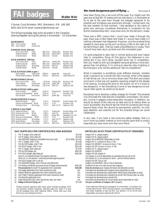# **I** badges

**Walter Weir**

3 Sumac Court Burketon, RR2, Blackstock, ON L0B 1B0 (905) 263-4374 email waltweir@inforamp.net

The following badge legs were recorded in the Canadian Soaring Register during the period 3 November – 15 December.

| 892<br>893 | <b>SILVER BADGE</b><br>Tom Coulson<br>Paul Hajduk                                                                                                                                               | <b>SOSA</b><br>Vancouver                                                  |                                                                 |                                                                                                |                                                                                                                        |
|------------|-------------------------------------------------------------------------------------------------------------------------------------------------------------------------------------------------|---------------------------------------------------------------------------|-----------------------------------------------------------------|------------------------------------------------------------------------------------------------|------------------------------------------------------------------------------------------------------------------------|
|            | DIAMOND GOAL (300 km)<br>Gino Cavicchioli<br>Anthony Rywak<br><b>Charles Gower</b>                                                                                                              | York<br>SOSA<br><b>SOSA</b>                                               | 305.3 km<br>305.3 km<br>305.0 km                                | Libelle 301<br>Jantar Std 2<br>Hornet                                                          | Rockton, ON<br>Rockton, ON<br>Rockton, ON                                                                              |
|            | GOLD DISTANCE (300 km)<br>Gino Cavicchioli<br>Anthony Rywak<br>Andrzej Kobus<br><b>Charles Gower</b>                                                                                            | York<br>SOSA<br>Winnipeg<br><b>SOSA</b>                                   | 305.3 km<br>305.3 km<br>317.4 km<br>305.0 km                    | Libelle 301<br>Jantar Std 2<br>Astir CS<br>Hornet                                              | Rockton, ON<br>Rockton, ON<br>Starbuck, MB<br>Rockton, ON                                                              |
|            | GOLD ALTITUDE (3000 m gain)<br>Paul Hajduk<br>Pierre-André Langlois Montreal                                                                                                                    | Vancouver                                                                 | 3500 m<br>3110 m                                                | Jantar Std<br><b>Std Cirrus</b>                                                                | Hope, BC<br>Lake Placid, NY                                                                                            |
|            | SILVER DISTANCE (50 km)<br>Gino Cavicchioli<br>Paul Hajduk<br>Andrzej Kobus                                                                                                                     | York<br>Vancouver<br>Winnipeg                                             | 91.8 km<br>110.3 km<br>132.5 km                                 | Libelle 301<br>Jantar Std<br>Astir CS                                                          | Rockton, ON<br>Hope, BC<br>Starbuck, MB                                                                                |
|            | SILVER ALTITUDE (1000 m gain)<br>Tom Coulson<br>Dariusz Andrzejewski<br>Paul Hajduk                                                                                                             | <b>SOSA</b><br>SOSA<br>Vancouver                                          | 1220 m<br>1370 m<br>3500 m                                      | Mosquito B<br>$2 - 33$<br>Jantar Std                                                           | Rockton, ON<br>Rockton, ON<br>Hope, BC                                                                                 |
|            | <b>SILVER DURATION (5 hours)</b><br>Robert McEwan<br>Dariusz Andrzejewski SOSA<br>Andrzej Kobus                                                                                                 | Frin<br>Winnipeg                                                          | 5:21 h<br>5:21h<br>7:17h                                        | Pilatus B4<br>$2 - 33$<br>Astir CS 77                                                          | Grand Valley, ON<br>Rockton, ON<br>Starbuck, MB                                                                        |
|            | C BADGE (1 hour flight)<br>2571 Robert McEwan<br>2572 Herman ten Cate<br>2573 Brian Ward<br>2574 Dariusz Andrzejewski<br>2575 Andrzej Kobus<br>2576 James Stirton<br>2577 Pierre-André Langlois | Erin<br><b>SOSA</b><br>Regina<br>SOSA<br>Winnipeg<br>Winnipeg<br>Montreal | 5:21 h<br>5:40h<br>1:06 h<br>5:21 h<br>7:17h<br>1:15h<br>3110 m | Pilatus B4<br>Astir CS<br>Jantar Std<br>$2 - 33$<br>Astir CS 77<br>Krosno<br><b>Std Cirrus</b> | Grand Valley, ON<br>Rockton, ON<br>Strawberry Lk, SK<br>Rockton, ON<br>Starbuck, MB<br>Starbuck, MB<br>Lake Placid, NY |

### **SAC SUPPLIES FOR CERTIFICATES AND BADGE**

|    | FAI 'A' badge, silver plate pin                                 |                        | \$6.00  | Insigne FAI 'A', plaqué argent                                    |
|----|-----------------------------------------------------------------|------------------------|---------|-------------------------------------------------------------------|
|    | FAI 'B' badge, silver plate pin                                 |                        | \$6.00  | Insigne FAI 'B', plaqué argent                                    |
|    | SAC BRONZE badge pin (available from your club)                 | $(12$ for \$55) \$6.00 |         | Insigne ACVV BRONZE (disponible au club)                          |
|    | FAI 'C' badge, cloth, 3" dia.                                   |                        | \$6.00  | Insigne FAI 'C', écusson en tissu, 3" dia.                        |
| 5. | FAI SILVER badge, cloth 3" dia.                                 |                        | \$12.00 | Insigne FAI ARGENT, écusson en tissu, 3" dia.                     |
| 6  | FAI GOLD badge, cloth 3" dia.                                   |                        | \$12.00 | Insigne FAI OR, écusson en tissu, 3" dia.                         |
|    | FAI 'C' badge, silver plate pin                                 |                        | \$5.00  | Insigne FAI 'C', plaqué argent                                    |
| 8  | FAI SILVER badge, pin                                           |                        | \$45.00 | Insigne FAI ARGENT                                                |
| 9  | FAI GOLD badge, gold plate pin                                  |                        | \$45.00 | Insigne FAI OR, plaqué or                                         |
|    | Items 4-12 ordered through FAI awards chairman                  |                        |         | Les articles 4-12 sont disponibles au président des prix de la FA |
|    | Items 10, 11 not stocked – external purchase approval given     |                        |         | Les articles 10, 11 ne sont pas en stock – permis d'achat extern  |
| 10 | FAI GOLD badge 10k or 14k pin                                   |                        |         | Insigne FAI OR, 10k ou 14k                                        |
| 11 | FAI DIAMOND badge, 10k or 14k pin and diamonds                  |                        |         | Insigne FAI DIAMAND, 10k ou 14k et diamands                       |
| 12 | FAI Gliding Certificate (personal record of badge achievements) |                        | \$10.00 | Certificat FAI de vol à voile (receuil des insignes)              |
|    | Processing fee for each FAI application form submitted          |                        | \$15.00 | Frais de services pour chaque formulaire de demande soumis        |
| 13 | FAI badge application form (also stocked by club)               |                        | n/c     | Formulaire de demande pour insignes (aussi disponible au club)    |
| 14 | Official Observer application form (also stocked by club)       |                        | n/c     | Formulaire de demande pour observateur officiel (aussi disponit   |
| 15 | SAC Flight Trophies application form (also stocked by club)     |                        | n/c     | Formulaire de demande pour trophées de vol de l'ACCV (aussi de    |
| 16 | FAI Records application form                                    |                        | n/c     | Formulaire de demande pour records FAI                            |
| 17 | Flight Declaration form (also stocked by club) per sheet        |                        | n/c     | Formulaire de déclaration de vol par feuille (aussi disponible au |
| 18 | Badge & Record Flying, ed. 7                                    |                        | \$6.00  | Vol pour certificats et insignes, éd.7 (anglais)                  |

Please enclose payment with order; price includes postage. GS not required. Ontario residents, add 8% sales tax. Items 1-6 and 13–18 available from SAC National Office. Check with your club first if you are looking for forms.

### **the most dangerous part of flying ...** from page 8

have been flying into a lee wind off the pass. Our height over the pass was at best 60–70 metres and we had about 1–2 kilometres to fly to get to the pass. Even though the passage appeared to be possible and Holighaus was practically through, I turned back into the bad weather. At that moment, I said goodbye to the ranks of pilots who seriously considered themselves in contention for the World championship title. I was never sorry for the decision I made.

There was a 99% chance that I could have made it through the pass. Klaus was a little higher and made it. I would have made it if nothing unforeseen had happened. However, only the smallest thing needed to have gone wrong such as flying a little to the right or to the left of Klaus' path. That can make a big difference in a pass. Then I would have been stuck up there over the unlandable pass.

I'm quite prepared to take risks in normal gliding and even higher risks in competition flying. At first glance, this statement is confusing. But if you don't allow yourself some risk in competition, then you might as well quit altogether because gliding is more dangerous than not gliding. If I'm willing to take the risks of gliding in the first place, why not the additional risks of competition?

What is important is something quite different. Namely, whether what I choose to do is worth the risks involved. What is the degree of risk? What can I do to minimize these risks? The short and simple conclusion is that one can question exposing oneself to the danger of all soaring, including the drive to the airport. All of it is more or less dangerous. In fact everything is more or less dangerous including all other sports. So what's to be done?

Everybody has to develop a safety strategy for himself. The simplest is to eliminate the risks that are completely unnecessary. For example, circling in gaggles unless absolutely necessary. In addition, we should be aware of the risks we do take and try to reduce them as much as possible. We should set risk limits for ourselves and not go beyond these limits. We should be permanently watchful. He who pays attention and watches out for the simplest things can avoid catastrophe.

In any case, if you have a risk-conscious safety strategy, that is a much more successful method of surviving this sport than to simply hope that you have more luck than your friend. ❖

|    | <b>SAC SUPPLIES FOR CERTIFICATES AND BADGES</b>                                                                                    |         | <b>ARTICLES ACVV POUR CERTIFICATS ET INSIGNES</b>                                                                                           |
|----|------------------------------------------------------------------------------------------------------------------------------------|---------|---------------------------------------------------------------------------------------------------------------------------------------------|
|    | FAI 'A' badge, silver plate pin                                                                                                    | \$6.00  | Insigne FAI 'A', plaqué argent                                                                                                              |
| 2  | FAI 'B' badge, silver plate pin                                                                                                    | \$6.00  | Insigne FAI 'B', plaqué argent                                                                                                              |
| 3  | SAC BRONZE badge pin (available from your club)<br>$(12$ for \$55)                                                                 | \$6.00  | Insigne ACVV BRONZE (disponible au club)                                                                                                    |
| 4  | FAI 'C' badge, cloth, 3" dia.                                                                                                      | \$6.00  | Insigne FAI 'C', écusson en tissu, 3" dia.                                                                                                  |
| 5  | FAI SILVER badge, cloth 3" dia.                                                                                                    | \$12.00 | Insigne FAI ARGENT, écusson en tissu, 3" dia.                                                                                               |
| 6  | FAI GOLD badge, cloth 3" dia.                                                                                                      | \$12.00 | Insigne FAI OR, écusson en tissu, 3" dia.                                                                                                   |
| 7  | FAI 'C' badge, silver plate pin                                                                                                    | \$5.00  | Insigne FAI 'C', plaqué argent                                                                                                              |
| 8  | FAI SILVER badge, pin                                                                                                              | \$45.00 | Insigne FAI ARGENT                                                                                                                          |
| 9  | FAI GOLD badge, gold plate pin                                                                                                     | \$45.00 | Insigne FAI OR, plaqué or                                                                                                                   |
|    | Items 4-12 ordered through FAI awards chairman                                                                                     |         | Les articles 4-12 sont disponibles au président des prix de la FAI                                                                          |
|    | Items 10, 11 not stocked – external purchase approval given                                                                        |         | Les articles 10, 11 ne sont pas en stock – permis d'achat externe                                                                           |
| 10 | FAI GOLD badge 10k or 14k pin                                                                                                      |         | Insigne FAI OR, 10k ou 14k                                                                                                                  |
| 11 | FAI DIAMOND badge, 10k or 14k pin and diamonds                                                                                     |         | Insigne FAI DIAMAND, 10k ou 14k et diamands                                                                                                 |
| 12 | FAI Gliding Certificate (personal record of badge achievements)                                                                    | \$10.00 | Certificat FAI de vol à voile (receuil des insignes)                                                                                        |
|    | Processing fee for each FAI application form submitted                                                                             | \$15.00 | Frais de services pour chaque formulaire de demande soumis                                                                                  |
| 13 | FAI badge application form (also stocked by club)                                                                                  | n/c     | Formulaire de demande pour insignes (aussi disponible au club)                                                                              |
| 14 | Official Observer application form (also stocked by club)                                                                          | n/c     | Formulaire de demande pour observateur officiel (aussi disponible au club)                                                                  |
| 15 | SAC Flight Trophies application form (also stocked by club)                                                                        | n/c     | Formulaire de demande pour trophées de vol de l'ACCV (aussi disp. au club)                                                                  |
| 16 | FAI Records application form                                                                                                       | n/c     | Formulaire de demande pour records FAI                                                                                                      |
| 17 | Flight Declaration form (also stocked by club) per sheet                                                                           | n/c     | Formulaire de déclaration de vol par feuille <i>(aussi disponible au club)</i>                                                              |
| 18 | Badge & Record Flying, ed. 7                                                                                                       | \$6.00  | Vol pour certificats et insignes, éd.7 (anglais)                                                                                            |
|    | Please enclose payment with order; price includes postage. GST<br>not required. Ontario residents, add 8% sales tax. Items 1–6 and |         | Votre paiement dévrait accompagner la commande. La livraison est<br>incluse dans le prix. TPS n'est pas requise. Les résidents de l'Ontario |
|    | 13–18 available from SAC National Office. Check with your club                                                                     |         | sont priés d'ajouter la taxe de 8%. Les articles 1–6 et 13-18 sont                                                                          |

disponibles au bureau national de l'ACVV.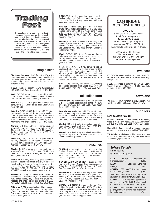### **Trading Post Trading Post**

Personal ads are a free service to SAC members (please give me the name of your club). \$10 per insertion for nonmembers. **Send ad to editor**, not the national office, Box 1916, Claresholm, AB T0L 0T0 tel/fax (403) 625-4563, free-flt@agt.net Ad will run 3 times unless you renew. Please tell me if your item has been sold sooner. Maximum ad length is 6 lines and subject to some editing as necessary.

### **single seat**

**SAC travel insurance**. Don't fly in the USA without proper medical insurance. Many travel health insurance policies don't cover injuries sustained while gliding. Contact your club treasurer for application forms.

**K-8B**, C–FROP, enclosed trailer. Eric Durance (519) 969-7889, Kurt Moser (eves only) (519) 472-8876.

**Ka6E**, C–GTXP, 804h, g cond, Cambridge vario, constant flow O2, encl homebuilt trailer. US\$8000 obo. Aaron Archibald, Golden (250) 344-7427.

**Ka6CR**, CF–GXF, '68, a John Kuhn trailer, exel cond, chute, O2, Libelle ballast bags. Eric Durance (519) 969-7889.

**Ka6CR**, CG-CJB, #6608, built in 1967, 1200+h. Just passed the annual. Based near Cleveland, Ohio. In good/very good condition. New instrumentation. Factory trailer. Slim pack parachute. Michael Steckner. For serious inquries, e-mail mks@gwis.com or phone me at (216) 473-9365.

**Monerai**, C–GIHZ, 160h, excel cond, extended wings, elec vario, enclosed alum trailer. \$5150. **Chairchute 150**, new, \$650. 3-cyl **König engine**, 24 hp, direct drive. Still in crate, \$1250. Tom Stoer (705) 721-5539.

**Phoebus B**, 15m, C–FURK, 1034h, good cond & gelcoat, Cambridge vario, radio, constant flow O2, encl homebuilt trailer. US\$11,000 obo. Aaron Archibald, Golden BC (250) 344-7427.

**Phoebus B**, 910 h, never bent, elec audio vario, speed-to-fly vario, O2, T&B, chute, EdoAire 360 radio, encl alum trailer. Asking \$14,000. Derek Kirby (905) 458-0819.

**Pilatus B4**, C-GXTA, 398h, very good condition, the last and strongest version of this fully aerobatic metal glider. Includes metal enclosed trailer, O2 and chute. Goal and distance Diamond ship (see free flight 3/97). \$21,500 obo. Paul Scott, (403) 455-7297, e-mail: scottp@gpu.srv.ualberta.ca

**PIK-mod**, PIK wings, homebuilt fuse, licensed as experimental K5 motorglider, flown all Diamonds, 40:1, tinted canopy, Mylar seals, O2, chute, new headset, encl metal trailer. See photo in ff 2/95. Asking \$20,000. Mike Cook (250) 427-5471/2598.

**Std Cirrus**, C–FAQV, excellent condition, no damage history, O2, final glide comp, factory trailer, ground handling kit, chute. All reasonable offers considered. Stewart Baillie (613) 226-4595 stewart.baillie@nrc.ca

**DG202/17C**, excellent condition , carbon model, Becker radio, ILEC, Winter, Hamilton compass, O2, US\$36,000 firm. Harry Peters, (604) 856 5456 petersh@uniserve.com

**ASW-19B**, good condition, spoiler mod, slim pack chute, Komet trailer, solo assembly rig, wing wheel, Replogle baro, demand O2, G-meter, panel hinged with canopy. US\$21,000 firm. Andy Potomak, (604) 888-1353 (B), (604) 888-8747 (H), fax (604) 888-2592 (days).

**PIK20Bc**, C–GXWD, carbon fibre, 820h, very good condition, new paint, Ball 400 c/w netto & cruise, Edoaire 720 radio, chute, O2, gear warning. Call Lee Coates at (403) 242-3056 or Denis Bergeron at (403) 526-4560.

**KW45**, C–FSNZ, 500h, Open Cirrus wings, homebuilt glass fuselage, never damaged, excel cond. Factory water ballast, tinted canopy, radio, O2, Ilec vario system, aluminum trailer. Fred Wollrad, (403) 479-2886.

**Ventus B**, 16.6m, low time, complete racing package, best deal on the market, priced right for quick sale, ask for detailed spec sheet. Hal<br>Werneburg,(403)686-6620evenings,email: *rhull* @acs.ucalgary.ca. (or) westechc@cadvision.com and Rick Zabrodski, rzabrods@acs.ucalgary.ca (403) 271-2654 eves.

**SZD-55**, Crown trailer, new spring 1997, share(s) or complete package avail. Based at SOSA. Andy Gough (905) 639-5939 (H), (905) 569-2990 (W).

### **miscellaneous**

**Two trailers**. Encl metal suitable for Lark or other 2-place. Enclosed glass clamshell suitable for 15m ship. Eric Durance (519) 969-7889, Kurt Moser (eves) (519) 472-8876.

**Two winches**, single drum with 3500 ft of cable, V-8 powered, very low time on both engines, on single axle frames with trailer hitches, excellent economical launch vehicles. Eric Durance (519) 969-7889, Kurt Moser (eves) (519) 472-8876.

**Wanted**, PIK or DG motor & retraction system for motorglider project. Call Mike Cook (250) 427- 2598 (W), 427-5471 (H) leave msg.

**Wanted**, two 2-33 wing tip wheel assemblies. Sylvain Bourque, AVV Champlain (514) 641-3913 email champlain@videotron.ca

### **magazines**

**SOARING** — the monthly journal of the Soaring Society of America. Subscriptions US\$43 second class. Credit cards accepted. Box E, Hobbs, NM 88241-7504. (505) 392-1177, fax (505) 392-8154. 74521.116@compuserve.com

**NEW ZEALAND GLIDING KIWI** — the bi–monthly journal of the New Zealand Gliding Association. Editor, John Roake. US\$32/year (seamail). Private Bag, Tauranga, NZ. john@roake.gen.nz

**SAILPLANE & GLIDING** - the only authoritative British magazine devoted entirely to gliding. Bimonthly. £17.50 per year. BGA, Kimberley House, Vaughan Way, Leicester, LE1 4SG, UK. fax 0116 2515939, Bgahq@aol.com

**AUSTRALIAN GLIDING** — monthly journal of the Gliding Federation of Australia. US\$34.80 surface mail, airmail extra. Payable on an Australian bank, int. money order, Bankcard, Visa, Mastercard. Box 1650, GPO, Adelaide, South Australia 5001. fax (08) 410-4711. AGeditor@gfa.on.net

### **CAMBRIDGE** Aero Instruments

#### **MZ Supplies**

is now exclusive Canadian dealer for all Cambridge products. **Contact Ulli Werneburg** for the latest in Flight Computers, Variometers, GPS and GPS Flight Recorders. Special introductory prices.

MZ Supplies, 1450 Goth Ave, Gloucester, ON K1T 1E4 (613) 523-2581, fax (613) 523-9322 *e-mail: mgmzaqua@cmw.ca*

### **two seat**

**K7**, C–FWRX, needs overhaul, enclosed trailer. Eric Durance (519) 969-7889, Kurt Moser (eves only) (519) 472-8876.

**2-22E**, no damage. Not flown for past nine years. Covered trailer. \$4000. Also ICOM hand-held radio \$400. (604) 536-2819.

### **towplane**

**PA-25-235**, 1205h, wing tanks, spray gear removed, tow hook. US\$17,000. Aaron (250) 344-7427.

### **suppliers**

### **REPAIRS & MAINTENANCE**

**Sunaero Aviation** Glider repairs in fibreglass, wood, & metal. Jerry Vesely, Box 1928, Claresholm, AB T0L 0T0 (403) 625-3155 (B), 625-2281 (fax).

**Flying High** Parachute sales, repairs, repacking, custom containers. Al MacDonald (403) 687-2225.

**XU Aviation** Chris Eaves. Glider repair in all materials. (519) 452-7999, fx (519) 452-0075, email xu-aviation@sympatico.ca

### **Solaire Canada**

Ed Hollestelle (519) 461-1464 p & fx

| LX-20                   |  | The new IGC-approved GPS                                                                                                      |        |
|-------------------------|--|-------------------------------------------------------------------------------------------------------------------------------|--------|
| flight data recorder    |  |                                                                                                                               | \$1995 |
| LX-100                  |  | Basic audio vario with                                                                                                        |        |
| averager                |  |                                                                                                                               | \$495  |
| tray and wiring harness |  | ATR720A 760 chan VHF with mounting                                                                                            | \$1695 |
|                         |  | SHM1010 Boom mike and wiring (as in-<br>stalled by most glider manufacturers \$150                                            |        |
|                         |  | LX-4000E S-RAM final glide computer or<br>connects to any GPS (with NMEA output)<br>or connects to LX-20 data recorder \$2995 |        |
| FAI data recorder       |  | LX-5000 The ultimate GPS/final glide com-<br>puter system with moving map display and                                         | \$5495 |